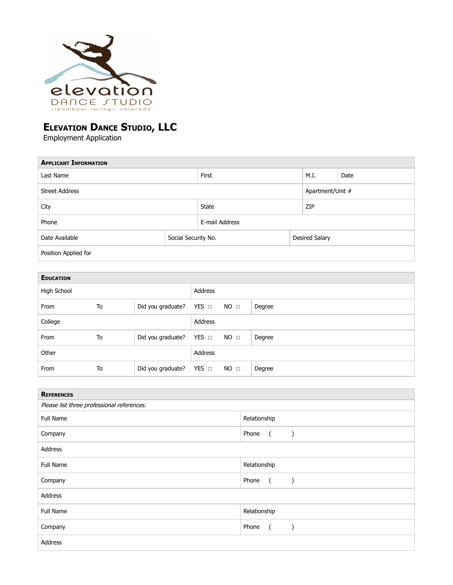

# **ELEVATION DANCE STUDIO, LLC**

Employment Application

| <b>APPLICANT INFORMATION</b> |                     |              |                       |      |  |  |
|------------------------------|---------------------|--------------|-----------------------|------|--|--|
| Last Name                    |                     | First        | M.I.                  | Date |  |  |
| <b>Street Address</b>        |                     |              | Apartment/Unit #      |      |  |  |
| City                         |                     | <b>State</b> | ZIP                   |      |  |  |
| Phone                        | E-mail Address      |              |                       |      |  |  |
| Date Available               | Social Security No. |              | <b>Desired Salary</b> |      |  |  |
| Position Applied for         |                     |              |                       |      |  |  |

| <b>EDUCATION</b> |    |                              |         |                 |        |
|------------------|----|------------------------------|---------|-----------------|--------|
| High School      |    |                              | Address |                 |        |
| From             | To | Did you graduate? YES □ NO □ |         |                 | Degree |
| College          |    |                              | Address |                 |        |
| From             | To | Did you graduate? YES □ NO □ |         |                 | Degree |
| Other            |    |                              | Address |                 |        |
| From             | To | Did you graduate? YES □      |         | NO <sub>□</sub> | Degree |

| <b>REFERENCES</b>                          |                                                          |  |  |  |
|--------------------------------------------|----------------------------------------------------------|--|--|--|
| Please list three professional references. |                                                          |  |  |  |
| Full Name                                  | Relationship                                             |  |  |  |
| Company                                    | Phone (<br>$\overline{\phantom{a}}$                      |  |  |  |
| Address                                    |                                                          |  |  |  |
| Full Name                                  | Relationship                                             |  |  |  |
| Company                                    | Phone (<br>$\overline{\phantom{a}}$                      |  |  |  |
| Address                                    |                                                          |  |  |  |
| <b>Full Name</b>                           | Relationship                                             |  |  |  |
| Company                                    | Phone (<br>$\left( \begin{array}{c} \end{array} \right)$ |  |  |  |
| Address                                    |                                                          |  |  |  |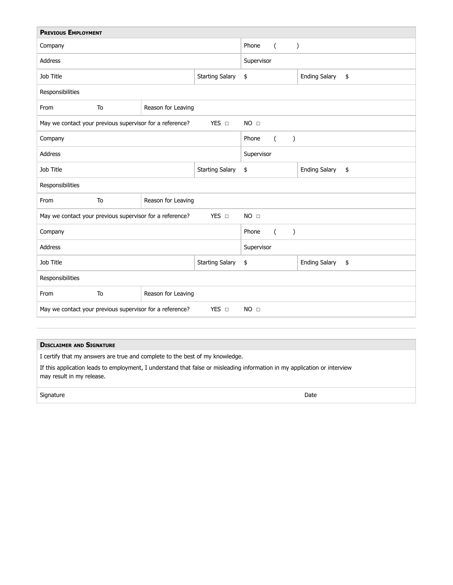| <b>PREVIOUS EMPLOYMENT</b>                                                           |    |                        |                                    |                            |                            |  |
|--------------------------------------------------------------------------------------|----|------------------------|------------------------------------|----------------------------|----------------------------|--|
| Company                                                                              |    |                        | Phone<br>$\left($<br>$\mathcal{C}$ |                            |                            |  |
| <b>Address</b>                                                                       |    |                        | Supervisor                         |                            |                            |  |
| Job Title                                                                            |    |                        | <b>Starting Salary</b>             | \$                         | <b>Ending Salary</b><br>\$ |  |
| Responsibilities                                                                     |    |                        |                                    |                            |                            |  |
| From                                                                                 | To | Reason for Leaving     |                                    |                            |                            |  |
| YES D<br>May we contact your previous supervisor for a reference?                    |    |                        |                                    | NO <sub>□</sub>            |                            |  |
| Company                                                                              |    |                        | Phone<br>$\mathcal{E}$<br>(        |                            |                            |  |
| Address                                                                              |    |                        | Supervisor                         |                            |                            |  |
| Job Title                                                                            |    | <b>Starting Salary</b> | \$                                 | <b>Ending Salary</b><br>\$ |                            |  |
| Responsibilities                                                                     |    |                        |                                    |                            |                            |  |
| From                                                                                 | To | Reason for Leaving     |                                    |                            |                            |  |
| YES D<br>NO <sub>□</sub><br>May we contact your previous supervisor for a reference? |    |                        |                                    |                            |                            |  |
| Company                                                                              |    |                        | Phone<br>$\lambda$<br>$\left($     |                            |                            |  |
| <b>Address</b>                                                                       |    |                        | Supervisor                         |                            |                            |  |
| <b>Job Title</b>                                                                     |    | <b>Starting Salary</b> | \$                                 | <b>Ending Salary</b><br>\$ |                            |  |
| Responsibilities                                                                     |    |                        |                                    |                            |                            |  |
| From                                                                                 | To | Reason for Leaving     |                                    |                            |                            |  |
| May we contact your previous supervisor for a reference?<br>YES O<br>NO <sub>□</sub> |    |                        |                                    |                            |                            |  |

#### **D ISCLAIMER AND S IGNATURE**

I certify that my answers are true and complete to the best of my knowledge.

If this application leads to employment, I understand that false or misleading information in my application or interview may result in my release.

signature Date Date of the Date of the Date of the Date of the Date of the Date of the Date of the Date of the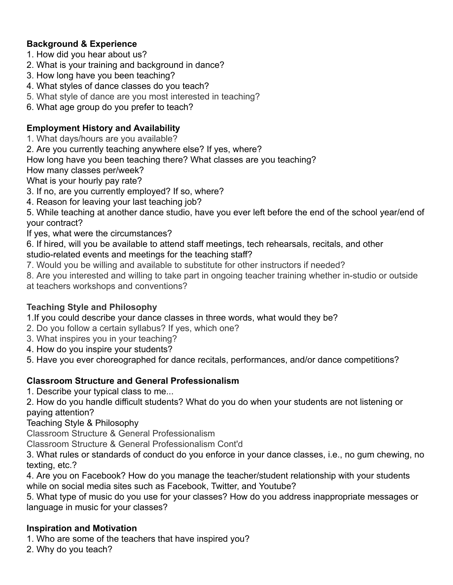## **Background & Experience**

- 1. How did you hear about us?
- 2. What is your training and background in dance?
- 3. How long have you been teaching?
- 4. What styles of dance classes do you teach?
- 5. What style of dance are you most interested in teaching?

6. What age group do you prefer to teach?

## **Employment History and Availability**

- 1. What days/hours are you available?
- 2. Are you currently teaching anywhere else? If yes, where?
- How long have you been teaching there? What classes are you teaching?
- How many classes per/week?

What is your hourly pay rate?

- 3. If no, are you currently employed? If so, where?
- 4. Reason for leaving your last teaching job?

5. While teaching at another dance studio, have you ever left before the end of the school year/end of your contract?

If yes, what were the circumstances?

- 6. If hired, will you be available to attend staff meetings, tech rehearsals, recitals, and other studio-related events and meetings for the teaching staff?
- 7. Would you be willing and available to substitute for other instructors if needed?
- 8. Are you interested and willing to take part in ongoing teacher training whether in-studio or outside at teachers workshops and conventions?

### **Teaching Style and Philosophy**

1.If you could describe your dance classes in three words, what would they be?

- 2. Do you follow a certain syllabus? If yes, which one?
- 3. What inspires you in your teaching?
- 4. How do you inspire your students?
- 5. Have you ever choreographed for dance recitals, performances, and/or dance competitions?

### **Classroom Structure and General Professionalism**

1. Describe your typical class to me...

2. How do you handle difficult students? What do you do when your students are not listening or paying attention?

Teaching Style & Philosophy

Classroom Structure & General Professionalism

Classroom Structure & General Professionalism Cont'd

3. What rules or standards of conduct do you enforce in your dance classes, i.e., no gum chewing, no texting, etc.?

4. Are you on Facebook? How do you manage the teacher/student relationship with your students while on social media sites such as Facebook, Twitter, and Youtube?

5. What type of music do you use for your classes? How do you address inappropriate messages or language in music for your classes?

### **Inspiration and Motivation**

1. Who are some of the teachers that have inspired you?

2. Why do you teach?